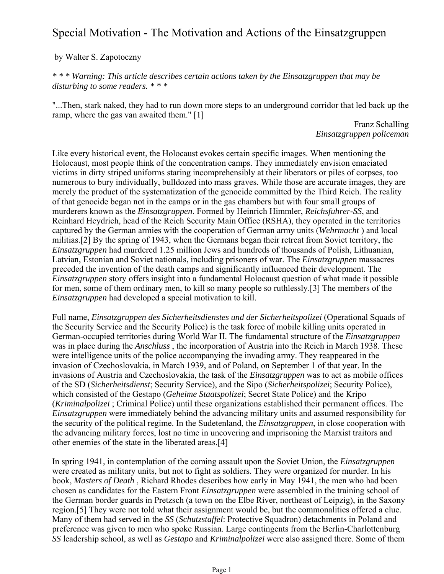## Special Motivation - The Motivation and Actions of the Einsatzgruppen

by Walter S. Zapotoczny

*\* \* \* Warning: This article describes certain actions taken by the Einsatzgruppen that may be disturbing to some readers. \* \* \**

"...Then, stark naked, they had to run down more steps to an underground corridor that led back up the ramp, where the gas van awaited them." [1]

> Franz Schalling *Einsatzgruppen policeman*

Like every historical event, the Holocaust evokes certain specific images. When mentioning the Holocaust, most people think of the concentration camps. They immediately envision emaciated victims in dirty striped uniforms staring incomprehensibly at their liberators or piles of corpses, too numerous to bury individually, bulldozed into mass graves. While those are accurate images, they are merely the product of the systematization of the genocide committed by the Third Reich. The reality of that genocide began not in the camps or in the gas chambers but with four small groups of murderers known as the *Einsatzgruppen*. Formed by Heinrich Himmler, *Reichsfuhrer-SS*, and Reinhard Heydrich, head of the Reich Security Main Office (RSHA), they operated in the territories captured by the German armies with the cooperation of German army units (*Wehrmacht* ) and local militias.[2] By the spring of 1943, when the Germans began their retreat from Soviet territory, the *Einsatzgruppen* had murdered 1.25 million Jews and hundreds of thousands of Polish, Lithuanian, Latvian, Estonian and Soviet nationals, including prisoners of war. The *Einsatzgruppen* massacres preceded the invention of the death camps and significantly influenced their development. The *Einsatzgruppen* story offers insight into a fundamental Holocaust question of what made it possible for men, some of them ordinary men, to kill so many people so ruthlessly.[3] The members of the *Einsatzgruppen* had developed a special motivation to kill.

Full name, *Einsatzgruppen des Sicherheitsdienstes und der Sicherheitspolizei* (Operational Squads of the Security Service and the Security Police) is the task force of mobile killing units operated in German-occupied territories during World War II. The fundamental structure of the *Einsatzgruppen* was in place during the *Anschluss* , the incorporation of Austria into the Reich in March 1938. These were intelligence units of the police accompanying the invading army. They reappeared in the invasion of Czechoslovakia, in March 1939, and of Poland, on September 1 of that year. In the invasions of Austria and Czechoslovakia, the task of the *Einsatzgruppen* was to act as mobile offices of the SD (*Sicherheitsdienst*; Security Service), and the Sipo (*Sicherheitspolizei*; Security Police), which consisted of the Gestapo (*Geheime Staatspolizei*; Secret State Police) and the Kripo (*Kriminalpolizei* ; Criminal Police) until these organizations established their permanent offices. The *Einsatzgruppen* were immediately behind the advancing military units and assumed responsibility for the security of the political regime. In the Sudetenland, the *Einsatzgruppen*, in close cooperation with the advancing military forces, lost no time in uncovering and imprisoning the Marxist traitors and other enemies of the state in the liberated areas.[4]

In spring 1941, in contemplation of the coming assault upon the Soviet Union, the *Einsatzgruppen* were created as military units, but not to fight as soldiers. They were organized for murder. In his book, *Masters of Death* , Richard Rhodes describes how early in May 1941, the men who had been chosen as candidates for the Eastern Front *Einsatzgruppen* were assembled in the training school of the German border guards in Pretzsch (a town on the Elbe River, northeast of Leipzig), in the Saxony region.[5] They were not told what their assignment would be, but the commonalities offered a clue. Many of them had served in the *SS* (*Schutzstaffel*: Protective Squadron) detachments in Poland and preference was given to men who spoke Russian. Large contingents from the Berlin-Charlottenburg *SS* leadership school, as well as *Gestapo* and *Kriminalpolizei* were also assigned there. Some of them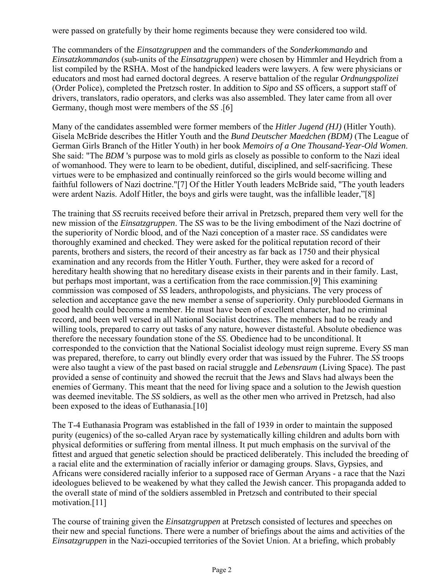were passed on gratefully by their home regiments because they were considered too wild.

The commanders of the *Einsatzgruppen* and the commanders of the *Sonderkommando* and *Einsatzkommandos* (sub-units of the *Einsatzgruppen*) were chosen by Himmler and Heydrich from a list compiled by the RSHA. Most of the handpicked leaders were lawyers. A few were physicians or educators and most had earned doctoral degrees. A reserve battalion of the regular *Ordnungspolizei* (Order Police), completed the Pretzsch roster. In addition to *Sipo* and *SS* officers, a support staff of drivers, translators, radio operators, and clerks was also assembled. They later came from all over Germany, though most were members of the *SS* .[6]

Many of the candidates assembled were former members of the *Hitler Jugend (HJ)* (Hitler Youth). Gisela McBride describes the Hitler Youth and the *Bund Deutscher Maedchen (BDM)* (The League of German Girls Branch of the Hitler Youth) in her book *Memoirs of a One Thousand-Year-Old Women*. She said: "The *BDM* 's purpose was to mold girls as closely as possible to conform to the Nazi ideal of womanhood. They were to learn to be obedient, dutiful, disciplined, and self-sacrificing. These virtues were to be emphasized and continually reinforced so the girls would become willing and faithful followers of Nazi doctrine."[7] Of the Hitler Youth leaders McBride said, "The youth leaders were ardent Nazis. Adolf Hitler, the boys and girls were taught, was the infallible leader,"[8]

The training that *SS* recruits received before their arrival in Pretzsch, prepared them very well for the new mission of the *Einsatzgruppen*. The *SS* was to be the living embodiment of the Nazi doctrine of the superiority of Nordic blood, and of the Nazi conception of a master race. *SS* candidates were thoroughly examined and checked. They were asked for the political reputation record of their parents, brothers and sisters, the record of their ancestry as far back as 1750 and their physical examination and any records from the Hitler Youth. Further, they were asked for a record of hereditary health showing that no hereditary disease exists in their parents and in their family. Last, but perhaps most important, was a certification from the race commission.[9] This examining commission was composed of *SS* leaders, anthropologists, and physicians. The very process of selection and acceptance gave the new member a sense of superiority. Only pureblooded Germans in good health could become a member. He must have been of excellent character, had no criminal record, and been well versed in all National Socialist doctrines. The members had to be ready and willing tools, prepared to carry out tasks of any nature, however distasteful. Absolute obedience was therefore the necessary foundation stone of the *SS*. Obedience had to be unconditional. It corresponded to the conviction that the National Socialist ideology must reign supreme. Every *SS* man was prepared, therefore, to carry out blindly every order that was issued by the Fuhrer. The *SS* troops were also taught a view of the past based on racial struggle and *Lebensraum* (Living Space). The past provided a sense of continuity and showed the recruit that the Jews and Slavs had always been the enemies of Germany. This meant that the need for living space and a solution to the Jewish question was deemed inevitable. The *SS* soldiers, as well as the other men who arrived in Pretzsch, had also been exposed to the ideas of Euthanasia.[10]

The T-4 Euthanasia Program was established in the fall of 1939 in order to maintain the supposed purity (eugenics) of the so-called Aryan race by systematically killing children and adults born with physical deformities or suffering from mental illness. It put much emphasis on the survival of the fittest and argued that genetic selection should be practiced deliberately. This included the breeding of a racial elite and the extermination of racially inferior or damaging groups. Slavs, Gypsies, and Africans were considered racially inferior to a supposed race of German Aryans - a race that the Nazi ideologues believed to be weakened by what they called the Jewish cancer. This propaganda added to the overall state of mind of the soldiers assembled in Pretzsch and contributed to their special motivation.[11]

The course of training given the *Einsatzgruppen* at Pretzsch consisted of lectures and speeches on their new and special functions. There were a number of briefings about the aims and activities of the *Einsatzgruppen* in the Nazi-occupied territories of the Soviet Union. At a briefing, which probably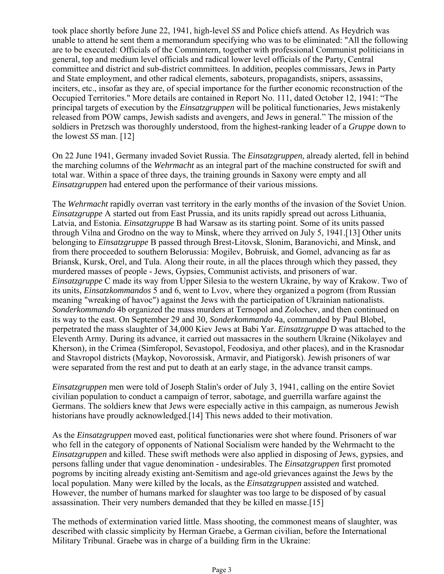took place shortly before June 22, 1941, high-level *SS* and Police chiefs attend. As Heydrich was unable to attend he sent them a memorandum specifying who was to be eliminated: "All the following are to be executed: Officials of the Commintern, together with professional Communist politicians in general, top and medium level officials and radical lower level officials of the Party, Central committee and district and sub-district committees. In addition, peoples commissars, Jews in Party and State employment, and other radical elements, saboteurs, propagandists, snipers, assassins, inciters, etc., insofar as they are, of special importance for the further economic reconstruction of the Occupied Territories." More details are contained in Report No. 111, dated October 12, 1941: "The principal targets of execution by the *Einsatzgruppen* will be political functionaries, Jews mistakenly released from POW camps, Jewish sadists and avengers, and Jews in general." The mission of the soldiers in Pretzsch was thoroughly understood, from the highest-ranking leader of a *Gruppe* down to the lowest *SS* man. [12]

On 22 June 1941, Germany invaded Soviet Russia. The *Einsatzgruppen*, already alerted, fell in behind the marching columns of the *Wehrmacht* as an integral part of the machine constructed for swift and total war. Within a space of three days, the training grounds in Saxony were empty and all *Einsatzgruppen* had entered upon the performance of their various missions.

The *Wehrmacht* rapidly overran vast territory in the early months of the invasion of the Soviet Union. *Einsatzgruppe* A started out from East Prussia, and its units rapidly spread out across Lithuania, Latvia, and Estonia. *Einsatzgruppe* B had Warsaw as its starting point. Some of its units passed through Vilna and Grodno on the way to Minsk, where they arrived on July 5, 1941.[13] Other units belonging to *Einsatzgruppe* B passed through Brest-Litovsk, Slonim, Baranovichi, and Minsk, and from there proceeded to southern Belorussia: Mogilev, Bobruisk, and Gomel, advancing as far as Briansk, Kursk, Orel, and Tula. Along their route, in all the places through which they passed, they murdered masses of people - Jews, Gypsies, Communist activists, and prisoners of war. *Einsatzgruppe* C made its way from Upper Silesia to the western Ukraine, by way of Krakow. Two of its units, *Einsatzkommandos* 5 and 6, went to Lvov, where they organized a pogrom (from Russian meaning "wreaking of havoc") against the Jews with the participation of Ukrainian nationalists. *Sonderkommando* 4b organized the mass murders at Ternopol and Zolochev, and then continued on its way to the east. On September 29 and 30, *Sonderkommando* 4a, commanded by Paul Blobel, perpetrated the mass slaughter of 34,000 Kiev Jews at Babi Yar. *Einsatzgruppe* D was attached to the Eleventh Army. During its advance, it carried out massacres in the southern Ukraine (Nikolayev and Kherson), in the Crimea (Simferopol, Sevastopol, Feodosiya, and other places), and in the Krasnodar and Stavropol districts (Maykop, Novorossisk, Armavir, and Piatigorsk). Jewish prisoners of war were separated from the rest and put to death at an early stage, in the advance transit camps.

*Einsatzgruppen* men were told of Joseph Stalin's order of July 3, 1941, calling on the entire Soviet civilian population to conduct a campaign of terror, sabotage, and guerrilla warfare against the Germans. The soldiers knew that Jews were especially active in this campaign, as numerous Jewish historians have proudly acknowledged.[14] This news added to their motivation.

As the *Einsatzgruppen* moved east, political functionaries were shot where found. Prisoners of war who fell in the category of opponents of National Socialism were handed by the Wehrmacht to the *Einsatzgruppen* and killed. These swift methods were also applied in disposing of Jews, gypsies, and persons falling under that vague denomination - undesirables. The *Einsatzgruppen* first promoted pogroms by inciting already existing ant-Semitism and age-old grievances against the Jews by the local population. Many were killed by the locals, as the *Einsatzgruppen* assisted and watched. However, the number of humans marked for slaughter was too large to be disposed of by casual assassination. Their very numbers demanded that they be killed en masse.[15]

The methods of extermination varied little. Mass shooting, the commonest means of slaughter, was described with classic simplicity by Herman Graebe, a German civilian, before the International Military Tribunal. Graebe was in charge of a building firm in the Ukraine: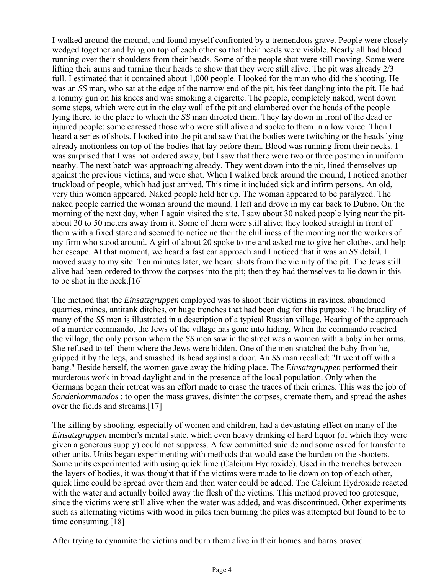I walked around the mound, and found myself confronted by a tremendous grave. People were closely wedged together and lying on top of each other so that their heads were visible. Nearly all had blood running over their shoulders from their heads. Some of the people shot were still moving. Some were lifting their arms and turning their heads to show that they were still alive. The pit was already 2/3 full. I estimated that it contained about 1,000 people. I looked for the man who did the shooting. He was an *SS* man, who sat at the edge of the narrow end of the pit, his feet dangling into the pit. He had a tommy gun on his knees and was smoking a cigarette. The people, completely naked, went down some steps, which were cut in the clay wall of the pit and clambered over the heads of the people lying there, to the place to which the *SS* man directed them. They lay down in front of the dead or injured people; some caressed those who were still alive and spoke to them in a low voice. Then I heard a series of shots. I looked into the pit and saw that the bodies were twitching or the heads lying already motionless on top of the bodies that lay before them. Blood was running from their necks. I was surprised that I was not ordered away, but I saw that there were two or three postmen in uniform nearby. The next batch was approaching already. They went down into the pit, lined themselves up against the previous victims, and were shot. When I walked back around the mound, I noticed another truckload of people, which had just arrived. This time it included sick and infirm persons. An old, very thin women appeared. Naked people held her up. The woman appeared to be paralyzed. The naked people carried the woman around the mound. I left and drove in my car back to Dubno. On the morning of the next day, when I again visited the site, I saw about 30 naked people lying near the pitabout 30 to 50 meters away from it. Some of them were still alive; they looked straight in front of them with a fixed stare and seemed to notice neither the chilliness of the morning nor the workers of my firm who stood around. A girl of about 20 spoke to me and asked me to give her clothes, and help her escape. At that moment, we heard a fast car approach and I noticed that it was an *SS* detail. I moved away to my site. Ten minutes later, we heard shots from the vicinity of the pit. The Jews still alive had been ordered to throw the corpses into the pit; then they had themselves to lie down in this to be shot in the neck.[16]

The method that the *Einsatzgruppen* employed was to shoot their victims in ravines, abandoned quarries, mines, antitank ditches, or huge trenches that had been dug for this purpose. The brutality of many of the *SS* men is illustrated in a description of a typical Russian village. Hearing of the approach of a murder commando, the Jews of the village has gone into hiding. When the commando reached the village, the only person whom the *SS* men saw in the street was a women with a baby in her arms. She refused to tell them where the Jews were hidden. One of the men snatched the baby from he, gripped it by the legs, and smashed its head against a door. An *SS* man recalled: "It went off with a bang." Beside herself, the women gave away the hiding place. The *Einsatzgruppen* performed their murderous work in broad daylight and in the presence of the local population. Only when the Germans began their retreat was an effort made to erase the traces of their crimes. This was the job of *Sonderkommandos* : to open the mass graves, disinter the corpses, cremate them, and spread the ashes over the fields and streams.[17]

The killing by shooting, especially of women and children, had a devastating effect on many of the *Einsatzgruppen* member's mental state, which even heavy drinking of hard liquor (of which they were given a generous supply) could not suppress. A few committed suicide and some asked for transfer to other units. Units began experimenting with methods that would ease the burden on the shooters. Some units experimented with using quick lime (Calcium Hydroxide). Used in the trenches between the layers of bodies, it was thought that if the victims were made to lie down on top of each other, quick lime could be spread over them and then water could be added. The Calcium Hydroxide reacted with the water and actually boiled away the flesh of the victims. This method proved too grotesque, since the victims were still alive when the water was added, and was discontinued. Other experiments such as alternating victims with wood in piles then burning the piles was attempted but found to be to time consuming.[18]

After trying to dynamite the victims and burn them alive in their homes and barns proved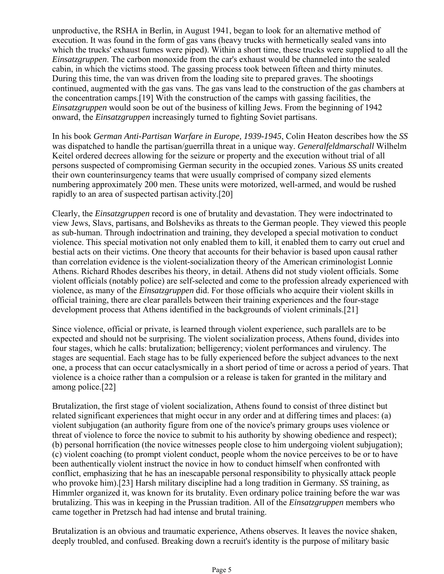unproductive, the RSHA in Berlin, in August 1941, began to look for an alternative method of execution. It was found in the form of gas vans (heavy trucks with hermetically sealed vans into which the trucks' exhaust fumes were piped). Within a short time, these trucks were supplied to all the *Einsatzgruppen*. The carbon monoxide from the car's exhaust would be channeled into the sealed cabin, in which the victims stood. The gassing process took between fifteen and thirty minutes. During this time, the van was driven from the loading site to prepared graves. The shootings continued, augmented with the gas vans. The gas vans lead to the construction of the gas chambers at the concentration camps.[19] With the construction of the camps with gassing facilities, the *Einsatzgruppen* would soon be out of the business of killing Jews. From the beginning of 1942 onward, the *Einsatzgruppen* increasingly turned to fighting Soviet partisans.

In his book *German Anti-Partisan Warfare in Europe, 1939-1945*, Colin Heaton describes how the *SS*  was dispatched to handle the partisan/guerrilla threat in a unique way. *Generalfeldmarschall* Wilhelm Keitel ordered decrees allowing for the seizure or property and the execution without trial of all persons suspected of compromising German security in the occupied zones. Various *SS* units created their own counterinsurgency teams that were usually comprised of company sized elements numbering approximately 200 men. These units were motorized, well-armed, and would be rushed rapidly to an area of suspected partisan activity.[20]

Clearly, the *Einsatzgruppen* record is one of brutality and devastation. They were indoctrinated to view Jews, Slavs, partisans, and Bolsheviks as threats to the German people. They viewed this people as sub-human. Through indoctrination and training, they developed a special motivation to conduct violence. This special motivation not only enabled them to kill, it enabled them to carry out cruel and bestial acts on their victims. One theory that accounts for their behavior is based upon causal rather than correlation evidence is the violent-socialization theory of the American criminologist Lonnie Athens. Richard Rhodes describes his theory, in detail. Athens did not study violent officials. Some violent officials (notably police) are self-selected and come to the profession already experienced with violence, as many of the *Einsatzgruppen* did. For those officials who acquire their violent skills in official training, there are clear parallels between their training experiences and the four-stage development process that Athens identified in the backgrounds of violent criminals.[21]

Since violence, official or private, is learned through violent experience, such parallels are to be expected and should not be surprising. The violent socialization process, Athens found, divides into four stages, which he calls: brutalization; belligerency; violent performances and virulency. The stages are sequential. Each stage has to be fully experienced before the subject advances to the next one, a process that can occur cataclysmically in a short period of time or across a period of years. That violence is a choice rather than a compulsion or a release is taken for granted in the military and among police.[22]

Brutalization, the first stage of violent socialization, Athens found to consist of three distinct but related significant experiences that might occur in any order and at differing times and places: (a) violent subjugation (an authority figure from one of the novice's primary groups uses violence or threat of violence to force the novice to submit to his authority by showing obedience and respect); (b) personal horrification (the novice witnesses people close to him undergoing violent subjugation); (c) violent coaching (to prompt violent conduct, people whom the novice perceives to be or to have been authentically violent instruct the novice in how to conduct himself when confronted with conflict, emphasizing that he has an inescapable personal responsibility to physically attack people who provoke him).[23] Harsh military discipline had a long tradition in Germany. *SS* training, as Himmler organized it, was known for its brutality. Even ordinary police training before the war was brutalizing. This was in keeping in the Prussian tradition. All of the *Einsatzgruppen* members who came together in Pretzsch had had intense and brutal training.

Brutalization is an obvious and traumatic experience, Athens observes. It leaves the novice shaken, deeply troubled, and confused. Breaking down a recruit's identity is the purpose of military basic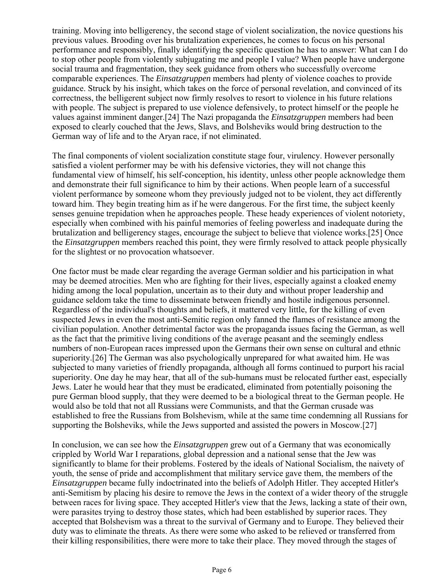training. Moving into belligerency, the second stage of violent socialization, the novice questions his previous values. Brooding over his brutalization experiences, he comes to focus on his personal performance and responsibly, finally identifying the specific question he has to answer: What can I do to stop other people from violently subjugating me and people I value? When people have undergone social trauma and fragmentation, they seek guidance from others who successfully overcome comparable experiences. The *Einsatzgruppen* members had plenty of violence coaches to provide guidance. Struck by his insight, which takes on the force of personal revelation, and convinced of its correctness, the belligerent subject now firmly resolves to resort to violence in his future relations with people. The subject is prepared to use violence defensively, to protect himself or the people he values against imminent danger.[24] The Nazi propaganda the *Einsatzgruppen* members had been exposed to clearly couched that the Jews, Slavs, and Bolsheviks would bring destruction to the German way of life and to the Aryan race, if not eliminated.

The final components of violent socialization constitute stage four, virulency. However personally satisfied a violent performer may be with his defensive victories, they will not change this fundamental view of himself, his self-conception, his identity, unless other people acknowledge them and demonstrate their full significance to him by their actions. When people learn of a successful violent performance by someone whom they previously judged not to be violent, they act differently toward him. They begin treating him as if he were dangerous. For the first time, the subject keenly senses genuine trepidation when he approaches people. These heady experiences of violent notoriety, especially when combined with his painful memories of feeling powerless and inadequate during the brutalization and belligerency stages, encourage the subject to believe that violence works.[25] Once the *Einsatzgruppen* members reached this point, they were firmly resolved to attack people physically for the slightest or no provocation whatsoever.

One factor must be made clear regarding the average German soldier and his participation in what may be deemed atrocities. Men who are fighting for their lives, especially against a cloaked enemy hiding among the local population, uncertain as to their duty and without proper leadership and guidance seldom take the time to disseminate between friendly and hostile indigenous personnel. Regardless of the individual's thoughts and beliefs, it mattered very little, for the killing of even suspected Jews in even the most anti-Semitic region only fanned the flames of resistance among the civilian population. Another detrimental factor was the propaganda issues facing the German, as well as the fact that the primitive living conditions of the average peasant and the seemingly endless numbers of non-European races impressed upon the Germans their own sense on cultural and ethnic superiority.[26] The German was also psychologically unprepared for what awaited him. He was subjected to many varieties of friendly propaganda, although all forms continued to purport his racial superiority. One day he may hear, that all of the sub-humans must be relocated further east, especially Jews. Later he would hear that they must be eradicated, eliminated from potentially poisoning the pure German blood supply, that they were deemed to be a biological threat to the German people. He would also be told that not all Russians were Communists, and that the German crusade was established to free the Russians from Bolshevism, while at the same time condemning all Russians for supporting the Bolsheviks, while the Jews supported and assisted the powers in Moscow.[27]

In conclusion, we can see how the *Einsatzgruppen* grew out of a Germany that was economically crippled by World War I reparations, global depression and a national sense that the Jew was significantly to blame for their problems. Fostered by the ideals of National Socialism, the naivety of youth, the sense of pride and accomplishment that military service gave them, the members of the *Einsatzgruppen* became fully indoctrinated into the beliefs of Adolph Hitler. They accepted Hitler's anti-Semitism by placing his desire to remove the Jews in the context of a wider theory of the struggle between races for living space. They accepted Hitler's view that the Jews, lacking a state of their own, were parasites trying to destroy those states, which had been established by superior races. They accepted that Bolshevism was a threat to the survival of Germany and to Europe. They believed their duty was to eliminate the threats. As there were some who asked to be relieved or transferred from their killing responsibilities, there were more to take their place. They moved through the stages of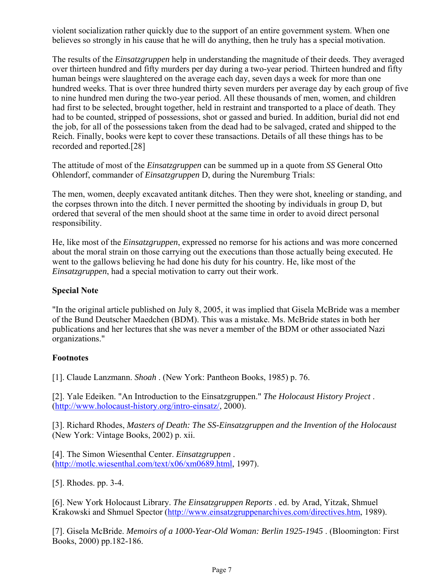violent socialization rather quickly due to the support of an entire government system. When one believes so strongly in his cause that he will do anything, then he truly has a special motivation.

The results of the *Einsatzgruppen* help in understanding the magnitude of their deeds. They averaged over thirteen hundred and fifty murders per day during a two-year period. Thirteen hundred and fifty human beings were slaughtered on the average each day, seven days a week for more than one hundred weeks. That is over three hundred thirty seven murders per average day by each group of five to nine hundred men during the two-year period. All these thousands of men, women, and children had first to be selected, brought together, held in restraint and transported to a place of death. They had to be counted, stripped of possessions, shot or gassed and buried. In addition, burial did not end the job, for all of the possessions taken from the dead had to be salvaged, crated and shipped to the Reich. Finally, books were kept to cover these transactions. Details of all these things has to be recorded and reported.[28]

The attitude of most of the *Einsatzgruppen* can be summed up in a quote from *SS* General Otto Ohlendorf, commander of *Einsatzgruppen* D, during the Nuremburg Trials:

The men, women, deeply excavated antitank ditches. Then they were shot, kneeling or standing, and the corpses thrown into the ditch. I never permitted the shooting by individuals in group D, but ordered that several of the men should shoot at the same time in order to avoid direct personal responsibility.

He, like most of the *Einsatzgruppen*, expressed no remorse for his actions and was more concerned about the moral strain on those carrying out the executions than those actually being executed. He went to the gallows believing he had done his duty for his country. He, like most of the *Einsatzgruppen*, had a special motivation to carry out their work.

## **Special Note**

"In the original article published on July 8, 2005, it was implied that Gisela McBride was a member of the Bund Deutscher Maedchen (BDM). This was a mistake. Ms. McBride states in both her publications and her lectures that she was never a member of the BDM or other associated Nazi organizations."

## **Footnotes**

[1]. Claude Lanzmann. *Shoah* . (New York: Pantheon Books, 1985) p. 76.

[2]. Yale Edeiken. "An Introduction to the Einsatzgruppen." *The Holocaust History Project* . (http://www.holocaust-history.org/intro-einsatz/, 2000).

[3]. Richard Rhodes, *Masters of Death: The SS-Einsatzgruppen and the Invention of the Holocaust* (New York: Vintage Books, 2002) p. xii.

[4]. The Simon Wiesenthal Center. *Einsatzgruppen* . (http://motlc.wiesenthal.com/text/x06/xm0689.html, 1997).

[5]. Rhodes. pp. 3-4.

[6]. New York Holocaust Library. *The Einsatzgruppen Reports* . ed. by Arad, Yitzak, Shmuel Krakowski and Shmuel Spector (http://www.einsatzgruppenarchives.com/directives.htm, 1989).

[7]. Gisela McBride. *Memoirs of a 1000-Year-Old Woman: Berlin 1925-1945* . (Bloomington: First Books, 2000) pp.182-186.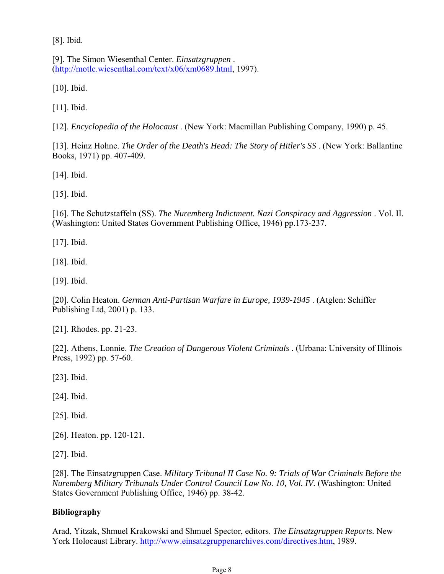[8]. Ibid.

[9]. The Simon Wiesenthal Center. *Einsatzgruppen* . (http://motlc.wiesenthal.com/text/x06/xm0689.html, 1997).

[10]. Ibid.

[11]. Ibid.

[12]. *Encyclopedia of the Holocaust* . (New York: Macmillan Publishing Company, 1990) p. 45.

[13]. Heinz Hohne. *The Order of the Death's Head: The Story of Hitler's SS* . (New York: Ballantine Books, 1971) pp. 407-409.

[14]. Ibid.

[15]. Ibid.

[16]. The Schutzstaffeln (SS). *The Nuremberg Indictment. Nazi Conspiracy and Aggression* . Vol. II. (Washington: United States Government Publishing Office, 1946) pp.173-237.

[17]. Ibid.

[18]. Ibid.

[19]. Ibid.

[20]. Colin Heaton. *German Anti-Partisan Warfare in Europe, 1939-1945* . (Atglen: Schiffer Publishing Ltd, 2001) p. 133.

[21]. Rhodes. pp. 21-23.

[22]. Athens, Lonnie. *The Creation of Dangerous Violent Criminals* . (Urbana: University of Illinois Press, 1992) pp. 57-60.

[23]. Ibid.

[24]. Ibid.

[25]. Ibid.

[26]. Heaton. pp. 120-121.

[27]. Ibid.

[28]. The Einsatzgruppen Case. *Military Tribunal II Case No. 9: Trials of War Criminals Before the Nuremberg Military Tribunals Under Control Council Law No. 10, Vol. IV.* (Washington: United States Government Publishing Office, 1946) pp. 38-42.

## **Bibliography**

Arad, Yitzak, Shmuel Krakowski and Shmuel Spector, editors. *The Einsatzgruppen Reports*. New York Holocaust Library. http://www.einsatzgruppenarchives.com/directives.htm, 1989.